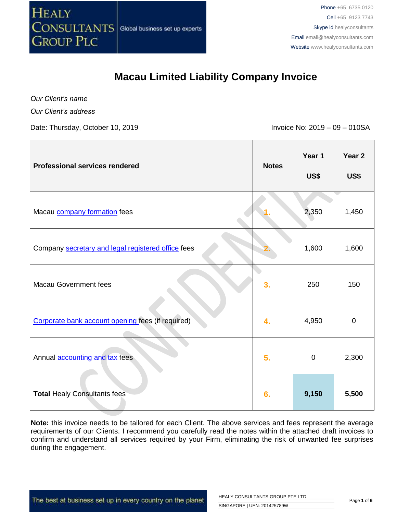

Global business set up experts

# **Macau Limited Liability Company Invoice**

*Our Client's name*

*Our Client's address*

Date: Thursday, October 10, 2019 **Invoice No: 2019** - 09 – 010SA

| <b>Professional services rendered</b>              | <b>Notes</b> | Year 1<br>US\$ | Year <sub>2</sub><br>US\$ |
|----------------------------------------------------|--------------|----------------|---------------------------|
| Macau company formation fees                       |              | 2,350          | 1,450                     |
| Company secretary and legal registered office fees |              | 1,600          | 1,600                     |
| <b>Macau Government fees</b>                       | 3.           | 250            | 150                       |
| Corporate bank account opening fees (if required)  | 4.           | 4,950          | $\pmb{0}$                 |
| Annual <b>accounting and tax</b> fees              | 5.           | $\mathbf 0$    | 2,300                     |
| <b>Total Healy Consultants fees</b>                | 6.           | 9,150          | 5,500                     |

**Note:** this invoice needs to be tailored for each Client. The above services and fees represent the average requirements of our Clients. I recommend you carefully read the notes within the attached draft invoices to confirm and understand all services required by your Firm, eliminating the risk of unwanted fee surprises during the engagement.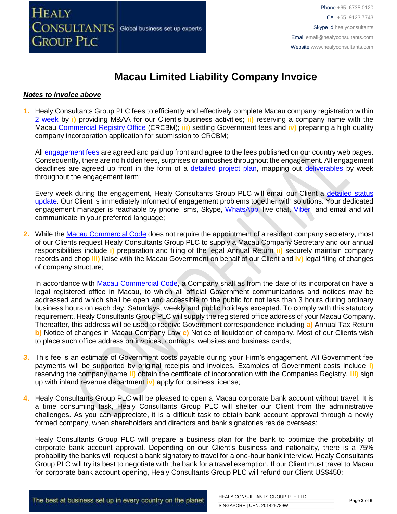

### **Macau Limited Liability Company Invoice**

### *Notes to invoice above*

**1.** Healy Consultants Group PLC fees to efficiently and effectively complete Macau company registration within 2 [week](https://www.healyconsultants.com/china-company-registration/fees-timelines/) by **i)** providing M&AA for our Client's business activities; **ii)** reserving a company name with the Macau [Commercial Registry Office](https://www.dsaj.gov.mo/KioskWeb/layout/CrcbmControl.jsp?actionPath=CrcbmBody_intro_pt.htm&lang=pt) (CRCBM); **iii)** settling Government fees and **iv)** preparing a high quality company incorporation application for submission to CRCBM;

All [engagement fees](http://www.healyconsultants.com/company-registration-fees/) are agreed and paid up front and agree to the fees published on our country web pages. Consequently, there are no hidden fees, surprises or ambushes throughout the engagement. All engagement deadlines are agreed up front in the form of a [detailed project plan,](http://www.healyconsultants.com/index-important-links/example-project-plan/) mapping out [deliverables](http://www.healyconsultants.com/deliverables-to-our-clients/) by week throughout the engagement term;

Every week during the engagement, Healy Consultants Group PLC will email our Client a detailed status [update.](http://www.healyconsultants.com/index-important-links/weekly-engagement-status-email/) Our Client is immediately informed of engagement problems together with solutions. Your dedicated engagement manager is reachable by phone, sms, Skype, [WhatsApp,](https://www.whatsapp.com/) live chat, [Viber](http://www.viber.com/en/) and email and will communicate in your preferred language;

**2.** While the Macau [Commercial Code](https://bo.io.gov.mo/bo/i/99/31/codcomen/codcom0201.asp#ss4a237) does not require the appointment of a resident company secretary, most of our Clients request Healy Consultants Group PLC to supply a Macau Company Secretary and our annual responsibilities include **i)** preparation and filing of the legal Annual Return **ii)** securely maintain company records and chop **iii)** liaise with the Macau Government on behalf of our Client and **iv)** legal filing of changes of company structure;

In accordance with [Macau Commercial Code,](https://bo.io.gov.mo/bo/i/99/31/codcomen/codcom0201.asp#ss4a237) a Company shall as from the date of its incorporation have a legal registered office in Macau, to which all official Government communications and notices may be addressed and which shall be open and accessible to the public for not less than 3 hours during ordinary business hours on each day, Saturdays, weekly and public holidays excepted. To comply with this statutory requirement, Healy Consultants Group PLC will supply the registered office address of your Macau Company. Thereafter, this address will be used to receive Government correspondence including **a)** Annual Tax Return **b)** Notice of changes in Macau Company Law **c)** Notice of liquidation of company. Most of our Clients wish to place such office address on invoices, contracts, websites and business cards;

- **3.** This fee is an estimate of Government costs payable during your Firm's engagement. All Government fee payments will be supported by original receipts and invoices. Examples of Government costs include **i)** reserving the company name **ii)** obtain the certificate of incorporation with the Companies Registry, **iii)** sign up with inland revenue department **iv)** apply for business license;
- **4.** Healy Consultants Group PLC will be pleased to open a Macau corporate bank account without travel. It is a time consuming task, Healy Consultants Group PLC will shelter our Client from the administrative challenges. As you can appreciate, it is a difficult task to obtain bank account approval through a newly formed company, when shareholders and directors and bank signatories reside overseas;

Healy Consultants Group PLC will prepare a business plan for the bank to optimize the probability of corporate bank account approval. Depending on our Client's business and nationality, there is a 75% probability the banks will request a bank signatory to travel for a one-hour bank interview. Healy Consultants Group PLC will try its best to negotiate with the bank for a travel exemption. If our Client must travel to Macau for corporate bank account opening, Healy Consultants Group PLC will refund our Client US\$450;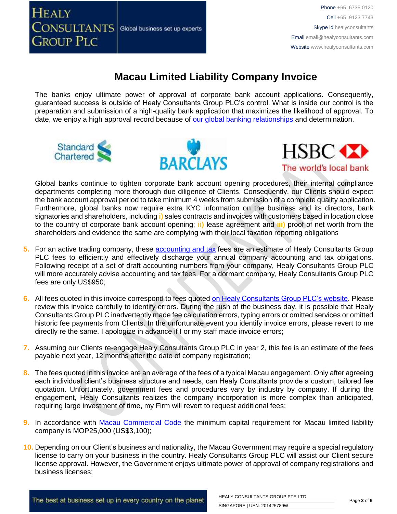**HEALY**  $\overline{\text{CONSULTANTS}}\vert$  Global business set up experts **GROUP PLC** 

# **Macau Limited Liability Company Invoice**

The banks enjoy ultimate power of approval of corporate bank account applications. Consequently, guaranteed success is outside of Healy Consultants Group PLC's control. What is inside our control is the preparation and submission of a high-quality bank application that maximizes the likelihood of approval. To date, we enjoy a high approval record because of [our global banking relationships](http://www.healyconsultants.com/international-banking/corporate-accounts/) and determination.







Global banks continue to tighten corporate bank account opening procedures, their internal compliance departments completing more thorough due diligence of Clients. Consequently, our Clients should expect the bank account approval period to take minimum 4 weeks from submission of a complete quality application. Furthermore, global banks now require extra KYC information on the business and its directors, bank signatories and shareholders, including **i)** sales contracts and invoices with customers based in location close to the country of corporate bank account opening; **ii)** lease agreement and **iii)** proof of net worth from the shareholders and evidence the same are complying with their local taxation reporting obligations

- **5.** For an active trading company, these **accounting and tax** fees are an estimate of Healy Consultants Group PLC fees to efficiently and effectively discharge your annual company accounting and tax obligations. Following receipt of a set of draft accounting numbers from your company, Healy Consultants Group PLC will more accurately advise accounting and tax fees. For a dormant company, Healy Consultants Group PLC fees are only US\$950;
- **6.** All fees quoted in this invoice correspond to fees quoted [on Healy Consultants Group PLC's website.](http://www.healyconsultants.com/company-registration-fees/) Please review this invoice carefully to identify errors. During the rush of the business day, it is possible that Healy Consultants Group PLC inadvertently made fee calculation errors, typing errors or omitted services or omitted historic fee payments from Clients. In the unfortunate event you identify invoice errors, please revert to me directly re the same. I apologize in advance if I or my staff made invoice errors;
- **7.** Assuming our Clients re-engage Healy Consultants Group PLC in year 2, this fee is an estimate of the fees payable next year, 12 months after the date of company registration;
- **8.** The fees quoted in this invoice are an average of the fees of a typical Macau engagement. Only after agreeing each individual client's business structure and needs, can Healy Consultants provide a custom, tailored fee quotation. Unfortunately, government fees and procedures vary by industry by company. If during the engagement, Healy Consultants realizes the company incorporation is more complex than anticipated, requiring large investment of time, my Firm will revert to request additional fees;
- **9.** In accordance with [Macau Commercial Code](https://bo.io.gov.mo/bo/i/99/31/codcomen/indice.asp) the minimum capital requirement for Macau limited liability company is MOP25,000 (US\$3,100);
- **10.** Depending on our Client's business and nationality, the Macau Government may require a special regulatory license to carry on your business in the country. Healy Consultants Group PLC will assist our Client secure license approval. However, the Government enjoys ultimate power of approval of company registrations and business licenses;

The best at business set up in every country on the planet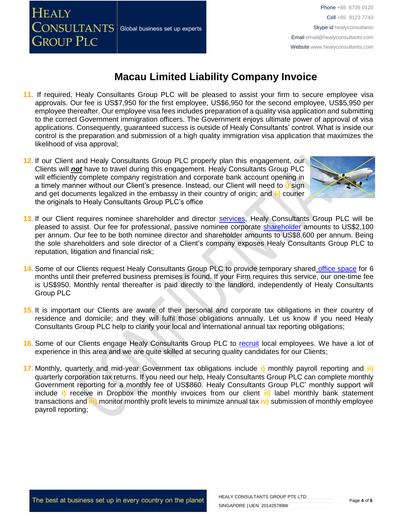CONSULTANTS Global business set up experts **GROUP PLC** 

**HEALY** 

# **Macau Limited Liability Company Invoice**

- **11.** If required, Healy Consultants Group PLC will be pleased to assist your firm to secure employee visa approvals. Our fee is US\$7,950 for the first employee, US\$6,950 for the second employee, US\$5,950 per employee thereafter. Our employee visa fees includes preparation of a quality visa application and submitting to the correct Government immigration officers. The Government enjoys ultimate power of approval of visa applications. Consequently, guaranteed success is outside of Healy Consultants' control. What is inside our control is the preparation and submission of a high quality immigration visa application that maximizes the likelihood of visa approval;
- **12.** If our Client and Healy Consultants Group PLC properly plan this engagement, our Clients will *not* have to travel during this engagement. Healy Consultants Group PLC will efficiently complete company registration and corporate bank account opening in a timely manner without our Client's presence. Instead, our Client will need to **i)** sign and get documents legalized in the embassy in their country of origin; and **ii)** courier the originals to Healy Consultants Group PLC's office



- 13. If our Client requires nominee shareholder and director [services,](http://www.healyconsultants.com/corporate-outsourcing-services/nominee-shareholders-directors/) Healy Consultants Group PLC will be pleased to assist. Our fee for professional, passive nominee corporate [shareholder](http://www.healyconsultants.com/national-shareholder-services/) amounts to US\$2,100 per annum. Our fee to be both nominee director and shareholder amounts to US\$8,600 per annum. Being the sole shareholders and sole director of a Client's company exposes Healy Consultants Group PLC to reputation, litigation and financial risk;
- **14.** Some of our Clients request Healy Consultants Group PLC to provide temporary shared [office space](http://www.healyconsultants.com/virtual-office/) for 6 months until their preferred business premises is found. If your Firm requires this service, our one-time fee is US\$950. Monthly rental thereafter is paid directly to the landlord, independently of Healy Consultants Group PLC
- **15.** It is important our Clients are aware of their personal and corporate tax obligations in their country of residence and domicile; and they will fulfil those obligations annually. Let us know if you need Healy Consultants Group PLC help to clarify your local and international annual tax reporting obligations;
- **16.** Some of our Clients engage Healy Consultants Group PLC to [recruit](http://www.healyconsultants.com/corporate-outsourcing-services/how-we-help-our-clients-recruit-quality-employees/) local employees. We have a lot of experience in this area and we are quite skilled at securing quality candidates for our Clients;
- **17.** Monthly, quarterly and mid-year Government tax obligations include **i)** monthly payroll reporting and **ii)** quarterly corporation tax returns. If you need our help, Healy Consultants Group PLC can complete monthly Government reporting for a monthly fee of US\$860. Healy Consultants Group PLC' monthly support will include **i)** receive in Dropbox the monthly invoices from our client **ii)** label monthly bank statement transactions and **iii)** monitor monthly profit levels to minimize annual tax **iv)** submission of monthly employee payroll reporting;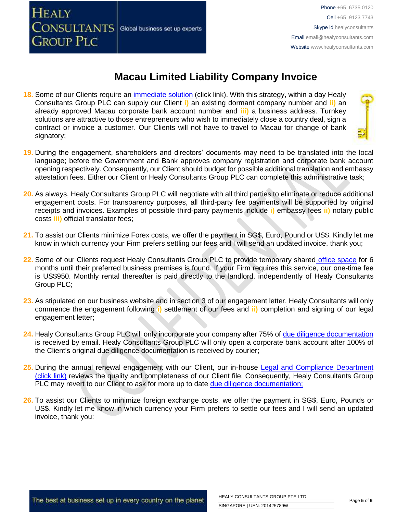

# **Macau Limited Liability Company Invoice**

- **18.** Some of our Clients require an [immediate solution](http://www.healyconsultants.com/hong-kong-company-registration/turnkey-solutions/) (click link). With this strategy, within a day Healy Consultants Group PLC can supply our Client **i)** an existing dormant company number and **ii)** an already approved Macau corporate bank account number and **iii)** a business address. Turnkey solutions are attractive to those entrepreneurs who wish to immediately close a country deal, sign a contract or invoice a customer. Our Clients will not have to travel to Macau for change of bank signatory;
- **19.** During the engagement, shareholders and directors' documents may need to be translated into the local language; before the Government and Bank approves company registration and corporate bank account opening respectively. Consequently, our Client should budget for possible additional translation and embassy attestation fees. Either our Client or Healy Consultants Group PLC can complete this administrative task;
- **20.** As always, Healy Consultants Group PLC will negotiate with all third parties to eliminate or reduce additional engagement costs. For transparency purposes, all third-party fee payments will be supported by original receipts and invoices. Examples of possible third-party payments include **i)** embassy fees **ii)** notary public costs **iii)** official translator fees;
- **21.** To assist our Clients minimize Forex costs, we offer the payment in SG\$, Euro, Pound or US\$. Kindly let me know in which currency your Firm prefers settling our fees and I will send an updated invoice, thank you;
- **22.** Some of our Clients request Healy Consultants Group PLC to provide temporary shared [office space](http://www.healyconsultants.com/virtual-office/) for 6 months until their preferred business premises is found. If your Firm requires this service, our one-time fee is US\$950. Monthly rental thereafter is paid directly to the landlord, independently of Healy Consultants Group PLC;
- **23.** As stipulated on our business website and in section 3 of our engagement letter, Healy Consultants will only commence the engagement following **i)** settlement of our fees and **ii)** completion and signing of our legal engagement letter;
- 24. Healy Consultants Group PLC will only incorporate your company after 75% of [due diligence documentation](http://www.healyconsultants.com/due-diligence/) is received by email. Healy Consultants Group PLC will only open a corporate bank account after 100% of the Client's original due diligence documentation is received by courier;
- 25. During the annual renewal engagement with our Client, our in-house Legal and Compliance Department [\(click link\)](http://www.healyconsultants.com/about-us/key-personnel/cai-xin-profile/) reviews the quality and completeness of our Client file. Consequently, Healy Consultants Group PLC may revert to our Client to ask for more up to date [due diligence documentation;](http://www.healyconsultants.com/due-diligence/)
- **26.** To assist our Clients to minimize foreign exchange costs, we offer the payment in SG\$, Euro, Pounds or US\$. Kindly let me know in which currency your Firm prefers to settle our fees and I will send an updated invoice, thank you: